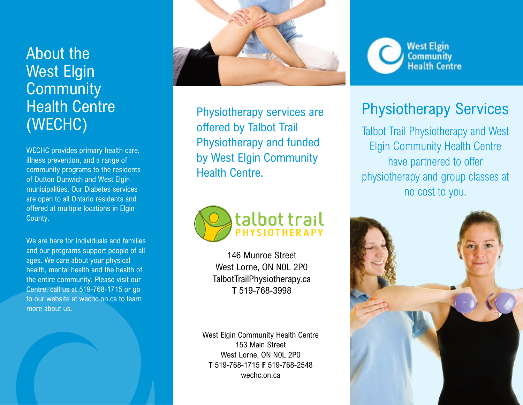## About the West Elgin **Community** Health Centre (WECHC)

WECHC provides primary health care, illness prevention, and a range of community programs to the residents of Dutton Dunwich and West Elgin municipalities. Our Diabetes services are open to all Ontario residents and offered at multiple locations in Elgin County.

We are here for individuals and families and our programs support people of all ages. We care about your physical health, mental health and the health of the entire community. Please visit our Centre, call us at 519-768-1715 or go to our website at wechc.on.ca to learn more about us.



Physiotherapy services are offered by Talbot Trail Physiotherapy and funded by West Elgin Community Health Centre.



146 Munroe Street West Lorne, ON N0L 2P0 TalbotTrailPhysiotherapy.ca **T** 519-768-3998

West Elgin Community Health Centre 153 Main Street West Lorne, ON N0L 2P0 **T** 519-768-1715 **F** 519-768-2548 wechc.on.ca



## Physiotherapy Services

Talbot Trail Physiotherapy and West Elgin Community Health Centre have partnered to offer physiotherapy and group classes at no cost to you.